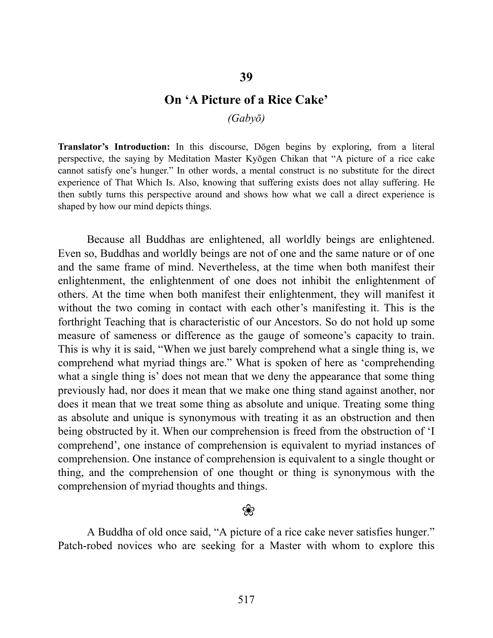### **On 'A Picture of a Rice Cake'**

*(Gabyō)* 

**Translator's Introduction:** In this discourse, Dōgen begins by exploring, from a literal perspective, the saying by Meditation Master Kyōgen Chikan that "A picture of a rice cake cannot satisfy one's hunger." In other words, a mental construct is no substitute for the direct experience of That Which Is. Also, knowing that suffering exists does not allay suffering. He then subtly turns this perspective around and shows how what we call a direct experience is shaped by how our mind depicts things.

Because all Buddhas are enlightened, all worldly beings are enlightened. Even so, Buddhas and worldly beings are not of one and the same nature or of one and the same frame of mind. Nevertheless, at the time when both manifest their enlightenment, the enlightenment of one does not inhibit the enlightenment of others. At the time when both manifest their enlightenment, they will manifest it without the two coming in contact with each other's manifesting it. This is the forthright Teaching that is characteristic of our Ancestors. So do not hold up some measure of sameness or difference as the gauge of someone's capacity to train. This is why it is said, "When we just barely comprehend what a single thing is, we comprehend what myriad things are." What is spoken of here as 'comprehending what a single thing is' does not mean that we deny the appearance that some thing previously had, nor does it mean that we make one thing stand against another, nor does it mean that we treat some thing as absolute and unique. Treating some thing as absolute and unique is synonymous with treating it as an obstruction and then being obstructed by it. When our comprehension is freed from the obstruction of 'I comprehend', one instance of comprehension is equivalent to myriad instances of comprehension. One instance of comprehension is equivalent to a single thought or thing, and the comprehension of one thought or thing is synonymous with the comprehension of myriad thoughts and things.

#### ❀

A Buddha of old once said, "A picture of a rice cake never satisfies hunger." Patch-robed novices who are seeking for a Master with whom to explore this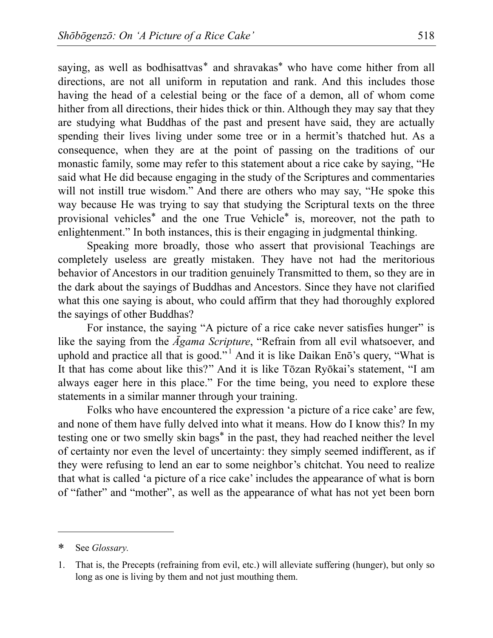saying, as well as bodhisattvas[\\*](#page-1-0) and shravakas\* who have come hither from all directions, are not all uniform in reputation and rank. And this includes those having the head of a celestial being or the face of a demon, all of whom come hither from all directions, their hides thick or thin. Although they may say that they are studying what Buddhas of the past and present have said, they are actually spending their lives living under some tree or in a hermit's thatched hut. As a consequence, when they are at the point of passing on the traditions of our monastic family, some may refer to this statement about a rice cake by saying, "He said what He did because engaging in the study of the Scriptures and commentaries will not instill true wisdom." And there are others who may say, "He spoke this way because He was trying to say that studying the Scriptural texts on the three provisional vehicles\* and the one True Vehicle\* is, moreover, not the path to enlightenment." In both instances, this is their engaging in judgmental thinking.

Speaking more broadly, those who assert that provisional Teachings are completely useless are greatly mistaken. They have not had the meritorious behavior of Ancestors in our tradition genuinely Transmitted to them, so they are in the dark about the sayings of Buddhas and Ancestors. Since they have not clarified what this one saying is about, who could affirm that they had thoroughly explored the sayings of other Buddhas?

For instance, the saying "A picture of a rice cake never satisfies hunger" is like the saying from the *Āgama Scripture*, "Refrain from all evil whatsoever, and uphold and practice all that is good."<sup>[1](#page-1-1)</sup> And it is like Daikan Enō's query, "What is It that has come about like this?" And it is like Tōzan Ryōkai's statement, "I am always eager here in this place." For the time being, you need to explore these statements in a similar manner through your training.

Folks who have encountered the expression 'a picture of a rice cake' are few, and none of them have fully delved into what it means. How do I know this? In my testing one or two smelly skin bags\* in the past, they had reached neither the level of certainty nor even the level of uncertainty: they simply seemed indifferent, as if they were refusing to lend an ear to some neighbor's chitchat. You need to realize that what is called 'a picture of a rice cake' includes the appearance of what is born of "father" and "mother", as well as the appearance of what has not yet been born

 $\overline{a}$ 

<span id="page-1-0"></span><sup>\*</sup> See *Glossary.* 

<span id="page-1-1"></span><sup>1.</sup> That is, the Precepts (refraining from evil, etc.) will alleviate suffering (hunger), but only so long as one is living by them and not just mouthing them.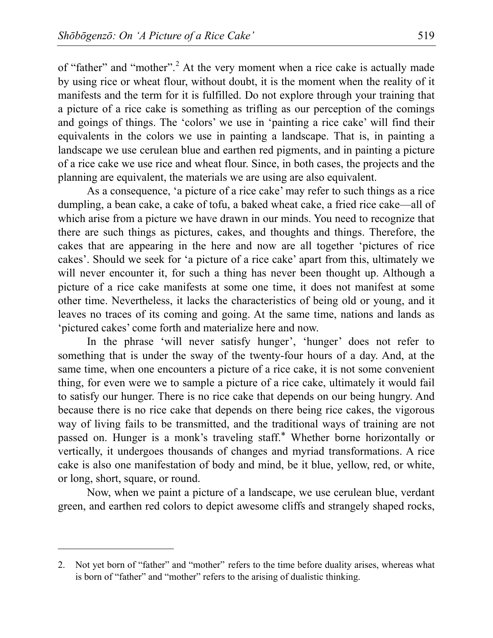of "father" and "mother".<sup>[2](#page-2-0)</sup> At the very moment when a rice cake is actually made by using rice or wheat flour, without doubt, it is the moment when the reality of it manifests and the term for it is fulfilled. Do not explore through your training that a picture of a rice cake is something as trifling as our perception of the comings and goings of things. The 'colors' we use in 'painting a rice cake' will find their equivalents in the colors we use in painting a landscape. That is, in painting a landscape we use cerulean blue and earthen red pigments, and in painting a picture of a rice cake we use rice and wheat flour. Since, in both cases, the projects and the planning are equivalent, the materials we are using are also equivalent.

As a consequence, 'a picture of a rice cake' may refer to such things as a rice dumpling, a bean cake, a cake of tofu, a baked wheat cake, a fried rice cake—all of which arise from a picture we have drawn in our minds. You need to recognize that there are such things as pictures, cakes, and thoughts and things. Therefore, the cakes that are appearing in the here and now are all together 'pictures of rice cakes'. Should we seek for 'a picture of a rice cake' apart from this, ultimately we will never encounter it, for such a thing has never been thought up. Although a picture of a rice cake manifests at some one time, it does not manifest at some other time. Nevertheless, it lacks the characteristics of being old or young, and it leaves no traces of its coming and going. At the same time, nations and lands as 'pictured cakes' come forth and materialize here and now.

In the phrase 'will never satisfy hunger', 'hunger' does not refer to something that is under the sway of the twenty-four hours of a day. And, at the same time, when one encounters a picture of a rice cake, it is not some convenient thing, for even were we to sample a picture of a rice cake, ultimately it would fail to satisfy our hunger. There is no rice cake that depends on our being hungry. And because there is no rice cake that depends on there being rice cakes, the vigorous way of living fails to be transmitted, and the traditional ways of training are not passed on. Hunger is a monk's traveling staff.\* Whether borne horizontally or vertically, it undergoes thousands of changes and myriad transformations. A rice cake is also one manifestation of body and mind, be it blue, yellow, red, or white, or long, short, square, or round.

Now, when we paint a picture of a landscape, we use cerulean blue, verdant green, and earthen red colors to depict awesome cliffs and strangely shaped rocks,

 $\overline{a}$ 

<span id="page-2-0"></span><sup>2.</sup> Not yet born of "father" and "mother" refers to the time before duality arises, whereas what is born of "father" and "mother" refers to the arising of dualistic thinking.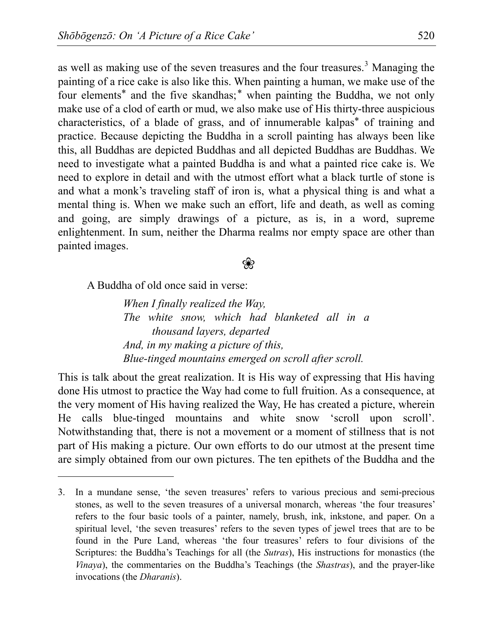as well as making use of the seven treasures and the four treasures.<sup>[3](#page-3-0)</sup> Managing the painting of a rice cake is also like this. When painting a human, we make use of the four elements\* and the five skandhas;\* when painting the Buddha, we not only make use of a clod of earth or mud, we also make use of His thirty-three auspicious characteristics, of a blade of grass, and of innumerable kalpas\* of training and practice. Because depicting the Buddha in a scroll painting has always been like this, all Buddhas are depicted Buddhas and all depicted Buddhas are Buddhas. We need to investigate what a painted Buddha is and what a painted rice cake is. We need to explore in detail and with the utmost effort what a black turtle of stone is and what a monk's traveling staff of iron is, what a physical thing is and what a mental thing is. When we make such an effort, life and death, as well as coming and going, are simply drawings of a picture, as is, in a word, supreme enlightenment. In sum, neither the Dharma realms nor empty space are other than painted images.

## ❀

A Buddha of old once said in verse:

 $\overline{a}$ 

*When I finally realized the Way, The white snow, which had blanketed all in a thousand layers, departed And, in my making a picture of this, Blue-tinged mountains emerged on scroll after scroll.* 

This is talk about the great realization. It is His way of expressing that His having done His utmost to practice the Way had come to full fruition. As a consequence, at the very moment of His having realized the Way, He has created a picture, wherein He calls blue-tinged mountains and white snow 'scroll upon scroll'. Notwithstanding that, there is not a movement or a moment of stillness that is not part of His making a picture. Our own efforts to do our utmost at the present time are simply obtained from our own pictures. The ten epithets of the Buddha and the

<span id="page-3-0"></span><sup>3.</sup> In a mundane sense, 'the seven treasures' refers to various precious and semi-precious stones, as well to the seven treasures of a universal monarch, whereas 'the four treasures' refers to the four basic tools of a painter, namely, brush, ink, inkstone, and paper. On a spiritual level, 'the seven treasures' refers to the seven types of jewel trees that are to be found in the Pure Land, whereas 'the four treasures' refers to four divisions of the Scriptures: the Buddha's Teachings for all (the *Sutras*), His instructions for monastics (the *Vinaya*), the commentaries on the Buddha's Teachings (the *Shastras*), and the prayer-like invocations (the *Dharanis*).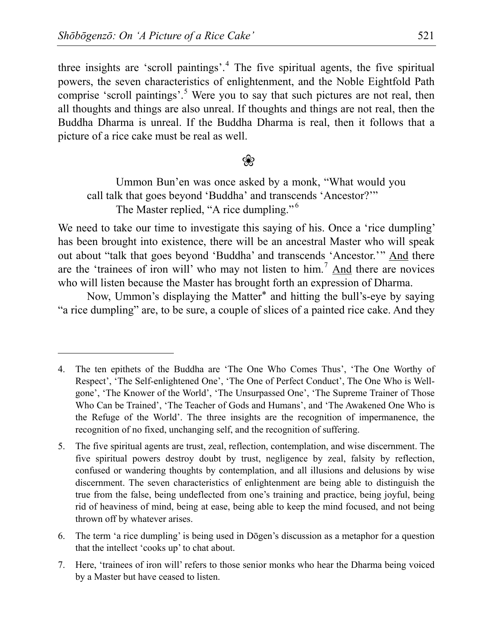$\overline{a}$ 

three insights are 'scroll paintings'.<sup>[4](#page-4-0)</sup> The five spiritual agents, the five spiritual powers, the seven characteristics of enlightenment, and the Noble Eightfold Path comprise 'scroll paintings'.<sup>[5](#page-4-1)</sup> Were you to say that such pictures are not real, then all thoughts and things are also unreal. If thoughts and things are not real, then the Buddha Dharma is unreal. If the Buddha Dharma is real, then it follows that a picture of a rice cake must be real as well.

## ❀

Ummon Bun'en was once asked by a monk, "What would you call talk that goes beyond 'Buddha' and transcends 'Ancestor?'" The Master replied, "A rice dumpling."<sup>[6](#page-4-2)</sup>

We need to take our time to investigate this saying of his. Once a 'rice dumpling' has been brought into existence, there will be an ancestral Master who will speak out about "talk that goes beyond 'Buddha' and transcends 'Ancestor.'" And there are the 'trainees of iron will' who may not listen to him.<sup>[7](#page-4-3)</sup> And there are novices who will listen because the Master has brought forth an expression of Dharma.

Now, Ummon's displaying the Matter\* and hitting the bull's-eye by saying "a rice dumpling" are, to be sure, a couple of slices of a painted rice cake. And they

<span id="page-4-0"></span><sup>4.</sup> The ten epithets of the Buddha are 'The One Who Comes Thus', 'The One Worthy of Respect', 'The Self-enlightened One', 'The One of Perfect Conduct', The One Who is Wellgone', 'The Knower of the World', 'The Unsurpassed One', 'The Supreme Trainer of Those Who Can be Trained', 'The Teacher of Gods and Humans', and 'The Awakened One Who is the Refuge of the World'. The three insights are the recognition of impermanence, the recognition of no fixed, unchanging self, and the recognition of suffering.

<span id="page-4-1"></span><sup>5.</sup> The five spiritual agents are trust, zeal, reflection, contemplation, and wise discernment. The five spiritual powers destroy doubt by trust, negligence by zeal, falsity by reflection, confused or wandering thoughts by contemplation, and all illusions and delusions by wise discernment. The seven characteristics of enlightenment are being able to distinguish the true from the false, being undeflected from one's training and practice, being joyful, being rid of heaviness of mind, being at ease, being able to keep the mind focused, and not being thrown off by whatever arises.

<span id="page-4-2"></span><sup>6.</sup> The term 'a rice dumpling' is being used in Dōgen's discussion as a metaphor for a question that the intellect 'cooks up' to chat about.

<span id="page-4-3"></span><sup>7.</sup> Here, 'trainees of iron will' refers to those senior monks who hear the Dharma being voiced by a Master but have ceased to listen.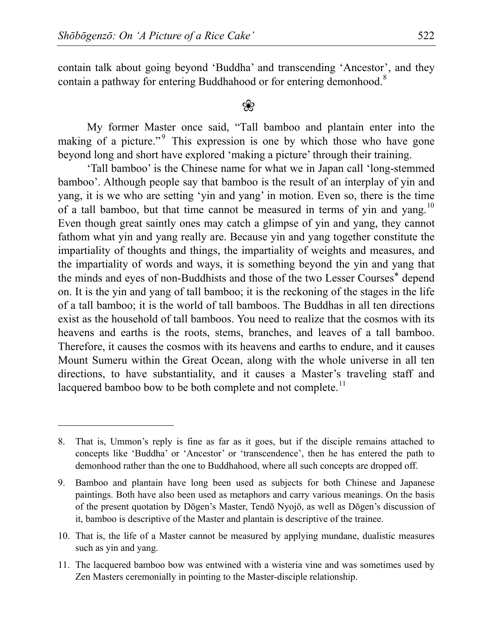$\overline{a}$ 

contain talk about going beyond 'Buddha' and transcending 'Ancestor', and they contain a pathway for entering Buddhahood or for entering demonhood.<sup>[8](#page-5-0)</sup>

# ❀

My former Master once said, "Tall bamboo and plantain enter into the making of a picture."<sup>[9](#page-5-1)</sup> This expression is one by which those who have gone beyond long and short have explored 'making a picture' through their training.

'Tall bamboo' is the Chinese name for what we in Japan call 'long-stemmed bamboo'. Although people say that bamboo is the result of an interplay of yin and yang, it is we who are setting 'yin and yang' in motion. Even so, there is the time of a tall bamboo, but that time cannot be measured in terms of yin and yang.<sup>[10](#page-5-2)</sup> Even though great saintly ones may catch a glimpse of yin and yang, they cannot fathom what yin and yang really are. Because yin and yang together constitute the impartiality of thoughts and things, the impartiality of weights and measures, and the impartiality of words and ways, it is something beyond the yin and yang that the minds and eyes of non-Buddhists and those of the two Lesser Courses\* depend on. It is the yin and yang of tall bamboo; it is the reckoning of the stages in the life of a tall bamboo; it is the world of tall bamboos. The Buddhas in all ten directions exist as the household of tall bamboos. You need to realize that the cosmos with its heavens and earths is the roots, stems, branches, and leaves of a tall bamboo. Therefore, it causes the cosmos with its heavens and earths to endure, and it causes Mount Sumeru within the Great Ocean, along with the whole universe in all ten directions, to have substantiality, and it causes a Master's traveling staff and lacquered bamboo bow to be both complete and not complete.<sup>[11](#page-5-3)</sup>

<span id="page-5-3"></span>11. The lacquered bamboo bow was entwined with a wisteria vine and was sometimes used by Zen Masters ceremonially in pointing to the Master-disciple relationship.

<span id="page-5-0"></span><sup>8.</sup> That is, Ummon's reply is fine as far as it goes, but if the disciple remains attached to concepts like 'Buddha' or 'Ancestor' or 'transcendence', then he has entered the path to demonhood rather than the one to Buddhahood, where all such concepts are dropped off.

<span id="page-5-1"></span><sup>9.</sup> Bamboo and plantain have long been used as subjects for both Chinese and Japanese paintings. Both have also been used as metaphors and carry various meanings. On the basis of the present quotation by Dōgen's Master, Tendō Nyojō, as well as Dōgen's discussion of it, bamboo is descriptive of the Master and plantain is descriptive of the trainee.

<span id="page-5-2"></span><sup>10.</sup> That is, the life of a Master cannot be measured by applying mundane, dualistic measures such as yin and yang.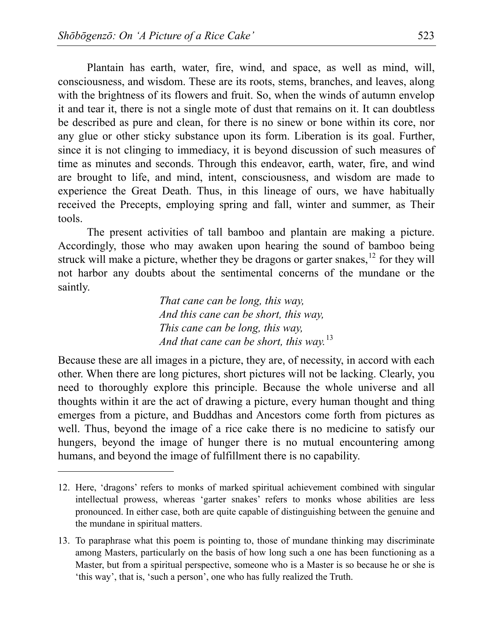$\overline{a}$ 

Plantain has earth, water, fire, wind, and space, as well as mind, will, consciousness, and wisdom. These are its roots, stems, branches, and leaves, along with the brightness of its flowers and fruit. So, when the winds of autumn envelop it and tear it, there is not a single mote of dust that remains on it. It can doubtless be described as pure and clean, for there is no sinew or bone within its core, nor any glue or other sticky substance upon its form. Liberation is its goal. Further, since it is not clinging to immediacy, it is beyond discussion of such measures of time as minutes and seconds. Through this endeavor, earth, water, fire, and wind are brought to life, and mind, intent, consciousness, and wisdom are made to experience the Great Death. Thus, in this lineage of ours, we have habitually received the Precepts, employing spring and fall, winter and summer, as Their tools.

The present activities of tall bamboo and plantain are making a picture. Accordingly, those who may awaken upon hearing the sound of bamboo being struck will make a picture, whether they be dragons or garter snakes,  $^{12}$  $^{12}$  $^{12}$  for they will not harbor any doubts about the sentimental concerns of the mundane or the saintly.

> *That cane can be long, this way, And this cane can be short, this way, This cane can be long, this way, And that cane can be short, this way.*[13](#page-6-1)

Because these are all images in a picture, they are, of necessity, in accord with each other. When there are long pictures, short pictures will not be lacking. Clearly, you need to thoroughly explore this principle. Because the whole universe and all thoughts within it are the act of drawing a picture, every human thought and thing emerges from a picture, and Buddhas and Ancestors come forth from pictures as well. Thus, beyond the image of a rice cake there is no medicine to satisfy our hungers, beyond the image of hunger there is no mutual encountering among humans, and beyond the image of fulfillment there is no capability.

<span id="page-6-0"></span><sup>12.</sup> Here, 'dragons' refers to monks of marked spiritual achievement combined with singular intellectual prowess, whereas 'garter snakes' refers to monks whose abilities are less pronounced. In either case, both are quite capable of distinguishing between the genuine and the mundane in spiritual matters.

<span id="page-6-1"></span><sup>13.</sup> To paraphrase what this poem is pointing to, those of mundane thinking may discriminate among Masters, particularly on the basis of how long such a one has been functioning as a Master, but from a spiritual perspective, someone who is a Master is so because he or she is 'this way', that is, 'such a person', one who has fully realized the Truth.